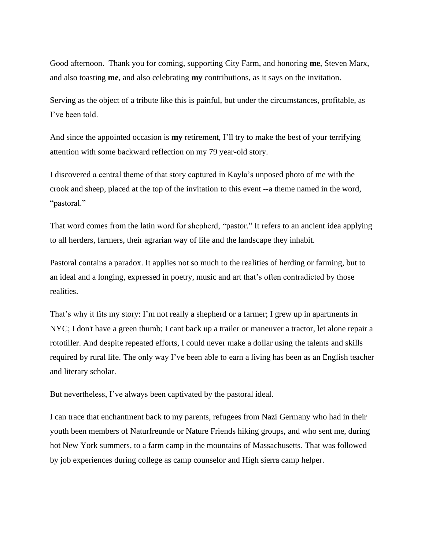Good afternoon. Thank you for coming, supporting City Farm, and honoring **me**, Steven Marx, and also toasting **me**, and also celebrating **my** contributions, as it says on the invitation.

Serving as the object of a tribute like this is painful, but under the circumstances, profitable, as I've been told.

And since the appointed occasion is **my** retirement, I'll try to make the best of your terrifying attention with some backward reflection on my 79 year-old story.

I discovered a central theme of that story captured in Kayla's unposed photo of me with the crook and sheep, placed at the top of the invitation to this event --a theme named in the word, "pastoral."

That word comes from the latin word for shepherd, "pastor." It refers to an ancient idea applying to all herders, farmers, their agrarian way of life and the landscape they inhabit.

Pastoral contains a paradox. It applies not so much to the realities of herding or farming, but to an ideal and a longing, expressed in poetry, music and art that's often contradicted by those realities.

That's why it fits my story: I'm not really a shepherd or a farmer; I grew up in apartments in NYC; I don't have a green thumb; I cant back up a trailer or maneuver a tractor, let alone repair a rototiller. And despite repeated efforts, I could never make a dollar using the talents and skills required by rural life. The only way I've been able to earn a living has been as an English teacher and literary scholar.

But nevertheless, I've always been captivated by the pastoral ideal.

I can trace that enchantment back to my parents, refugees from Nazi Germany who had in their youth been members of Naturfreunde or Nature Friends hiking groups, and who sent me, during hot New York summers, to a farm camp in the mountains of Massachusetts. That was followed by job experiences during college as camp counselor and High sierra camp helper.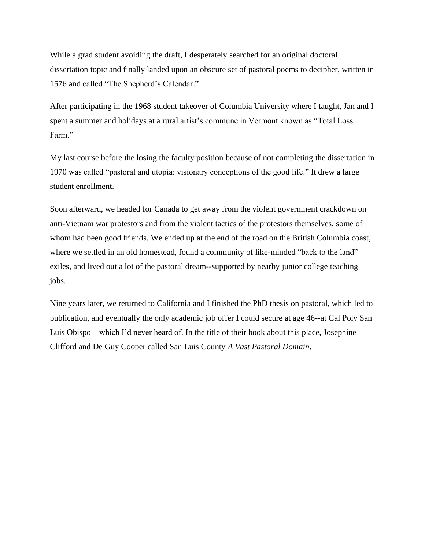While a grad student avoiding the draft, I desperately searched for an original doctoral dissertation topic and finally landed upon an obscure set of pastoral poems to decipher, written in 1576 and called "The Shepherd's Calendar."

After participating in the 1968 student takeover of Columbia University where I taught, Jan and I spent a summer and holidays at a rural artist's commune in Vermont known as "Total Loss Farm."

My last course before the losing the faculty position because of not completing the dissertation in 1970 was called "pastoral and utopia: visionary conceptions of the good life." It drew a large student enrollment.

Soon afterward, we headed for Canada to get away from the violent government crackdown on anti-Vietnam war protestors and from the violent tactics of the protestors themselves, some of whom had been good friends. We ended up at the end of the road on the British Columbia coast, where we settled in an old homestead, found a community of like-minded "back to the land" exiles, and lived out a lot of the pastoral dream--supported by nearby junior college teaching jobs.

Nine years later, we returned to California and I finished the PhD thesis on pastoral, which led to publication, and eventually the only academic job offer I could secure at age 46--at Cal Poly San Luis Obispo—which I'd never heard of. In the title of their book about this place, Josephine Clifford and De Guy Cooper called San Luis County *A Vast Pastoral Domain*.